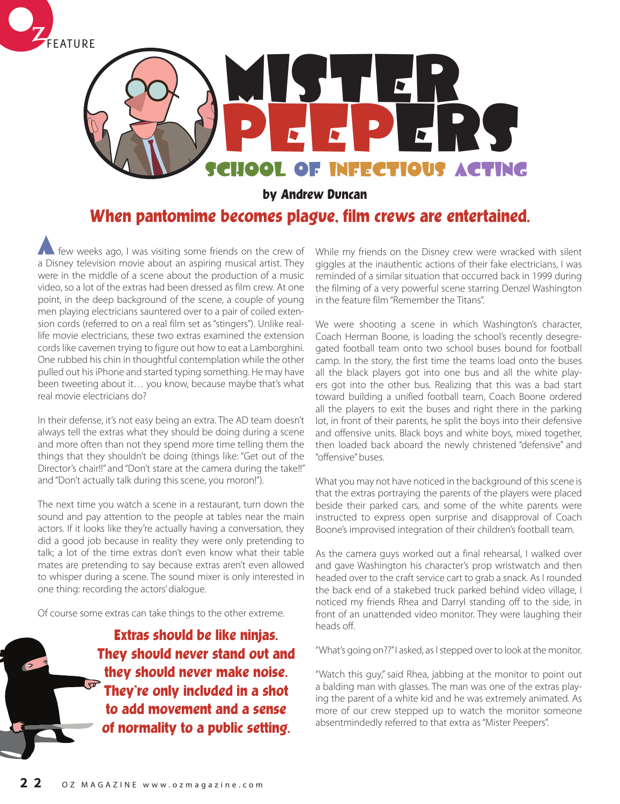



**by Andrew Duncan**

## **When pantomime becomes plague, film crews are entertained.**

few weeks ago, I was visiting some friends on the crew of a Disney television movie about an aspiring musical artist. They were in the middle of a scene about the production of a music video, so a lot of the extras had been dressed as film crew. At one point, in the deep background of the scene, a couple of young men playing electricians sauntered over to a pair of coiled extension cords (referred to on a real film set as "stingers"). Unlike reallife movie electricians, these two extras examined the extension cords like cavemen trying to figure out how to eat a Lamborghini. One rubbed his chin in thoughtful contemplation while the other pulled out his iPhone and started typing something. He may have been tweeting about it… you know, because maybe that's what real movie electricians do?

In their defense, it's not easy being an extra. The AD team doesn't always tell the extras what they should be doing during a scene and more often than not they spend more time telling them the things that they shouldn't be doing (things like: "Get out of the Director's chair!!" and "Don't stare at the camera during the take!!" and "Don't actually talk during this scene, you moron!").

The next time you watch a scene in a restaurant, turn down the sound and pay attention to the people at tables near the main actors. If it looks like they're actually having a conversation, they did a good job because in reality they were only pretending to talk; a lot of the time extras don't even know what their table mates are pretending to say because extras aren't even allowed to whisper during a scene. The sound mixer is only interested in one thing: recording the actors' dialogue.

Of course some extras can take things to the other extreme.

**Extras should be like ninjas. They should never stand out and they should never make noise. They're only included in a shot to add movement and a sense of normality to a public setting.** 

While my friends on the Disney crew were wracked with silent giggles at the inauthentic actions of their fake electricians, I was reminded of a similar situation that occurred back in 1999 during the filming of a very powerful scene starring Denzel Washington in the feature film "Remember the Titans".

We were shooting a scene in which Washington's character, Coach Herman Boone, is loading the school's recently desegregated football team onto two school buses bound for football camp. In the story, the first time the teams load onto the buses all the black players got into one bus and all the white players got into the other bus. Realizing that this was a bad start toward building a unified football team, Coach Boone ordered all the players to exit the buses and right there in the parking lot, in front of their parents, he split the boys into their defensive and offensive units. Black boys and white boys, mixed together, then loaded back aboard the newly christened "defensive" and "offensive" buses.

What you may not have noticed in the background of this scene is that the extras portraying the parents of the players were placed beside their parked cars, and some of the white parents were instructed to express open surprise and disapproval of Coach Boone's improvised integration of their children's football team.

As the camera guys worked out a final rehearsal, I walked over and gave Washington his character's prop wristwatch and then headed over to the craft service cart to grab a snack. As I rounded the back end of a stakebed truck parked behind video village, I noticed my friends Rhea and Darryl standing off to the side, in front of an unattended video monitor. They were laughing their heads off.

"What's going on??" I asked, as I stepped over to look at the monitor.

"Watch this guy," said Rhea, jabbing at the monitor to point out a balding man with glasses. The man was one of the extras playing the parent of a white kid and he was extremely animated. As more of our crew stepped up to watch the monitor someone absentmindedly referred to that extra as "Mister Peepers".